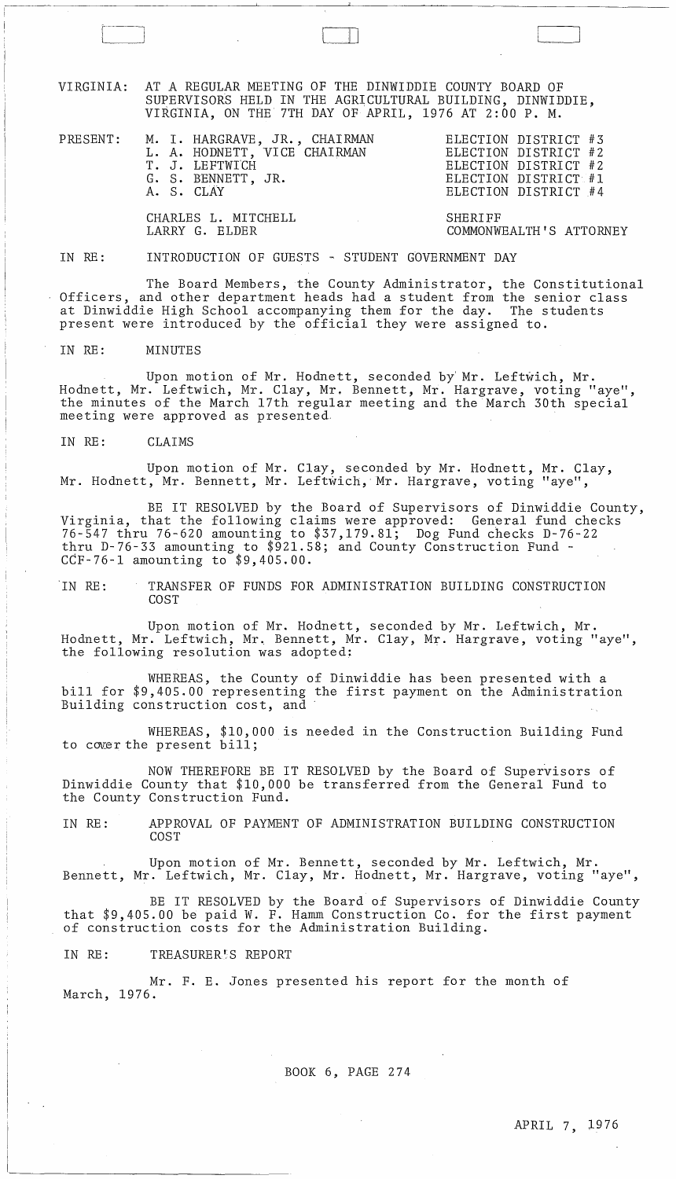VIRGINIA: AT A REGULAR MEETING OF THE DINWIDDIE COUNTY BOARD OF SUPERVISORS HELD IN THE AGRICULTURAL BUILDING, DINWIDDIE, VIRGINIA, ON THE 7TH DAY OF APRIL, 1976 AT 2:00 P. M.

| PRESENT: M. I. HARGRAVE, JR., CHAIRMAN<br>L. A. HODNETT, VICE CHAIRMAN<br>T. J. LEFTWICH<br>G. S. BENNETT, JR.<br>A. S. CLAY | ELECTION DISTRICT #3<br>ELECTION DISTRICT #2<br>ELECTION DISTRICT #2<br>ELECTION DISTRICT #1<br>ELECTION DISTRICT #4 |
|------------------------------------------------------------------------------------------------------------------------------|----------------------------------------------------------------------------------------------------------------------|
| CHARLES L. MITCHELL<br>LARRY G. ELDER                                                                                        | SHERIFF<br>COMMONWEALTH'S ATTORNEY                                                                                   |

### IN RE: INTRODUCTION OF GUESTS ~ STUDENT GOVERNMENT DAY

[V~11

The Board Members, the County Administrator, the Constitutional Officers, and other department heads had a student from the senior class at Dinwiddie High School accompanying them for the day. The students present were introduced by the official they were assigned to.

#### IN RE: MINUTES

Upon motion of Mr. Hodnett, seconded by Mr. Leftwich, Mr. Hodnett, Mr. Leftwich, Mr. Clay, Mr. Bennett, Mr. Hargrave, voting "aye", the minutes of the March 17th regular meeting and the March 30th special meeting were approved as presented,

IN RE: CLAIMS

Upon motion of Mr. Clay, seconded by Mr. Hodnett, Mr. Clay, Mr. Hodnett, Mr. Bennett, Mr. Leftwich, Mr. Hargrave, voting "aye",

BE IT RESOLVED by the Board of Supervisors of Dinwiddie County, Virginia, that the following claims were approved: General fund checks 76-547 thru 76-620 amounting to \$37,179.81; Dog Fund checks D-76-22 thru D-76-33 amounting to \$921.58; and County Construction Fund - CCF-76-l amounting to \$9,405.00.

IN RE: TRANSFER OF FUNDS FOR ADMINISTRATION BUILDING CONSTRUCTION COST

Upon motion of Mr. Hodnett, seconded by Mr. Leftwich, Mr. Hodnett, Mr. Leftwich, Mr. Bennett, Mr. Clay, Mr. Hargrave, voting "aye", the following resolution was adopted:

WHEREAS, the County of Dinwiddie has been presented with a bill for \$9,405.00 representing the first payment on the Administration Building construction cost, and'

WHEREAS, \$10,000 is needed in the Construction Building Fund to cover the present bill;

NOW THEREFORE BE IT RESOLVED by the Board of Supervisors of Dinwiddie County that \$10,000 be transferred from the General Fund to the County Construction Fund.

IN RE: APPROVAL OF PAYMENT OF ADMINISTRATION BUILDING CONSTRUCTION COST

Upon motion of Mr. Bennett, seconded by Mr. Leftwich, Mr. Bennett, Mr. Leftwich, Mr. Clay, Mr. Hodnett, Mr. Hargrave, voting "aye",

BE IT RESOLVED by the Board of Supervisors of Dinwiddie County that \$9,405.00 be paid W. F. Hamm Construction Co. for the first payment of construction costs for the Administration Building.

IN RE: TREASURER'S REPORT

Mr. F. E. Jones presented his report for the month of March, 1976.

BOOK 6, PAGE 274

 $\sim 10^{-10}$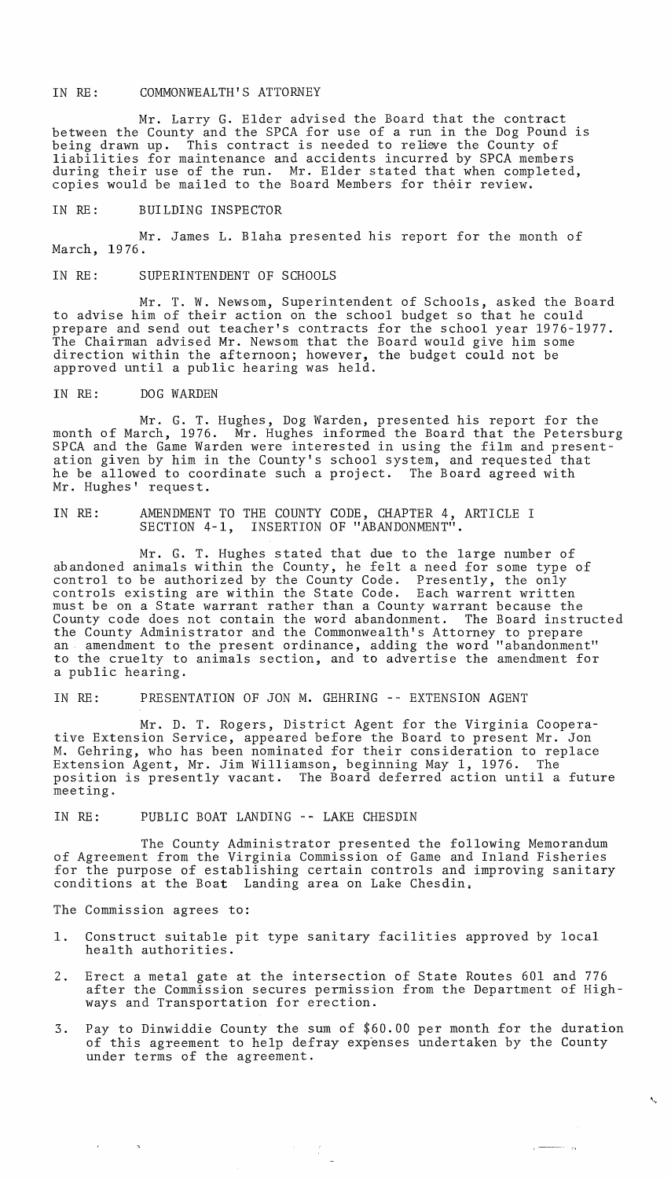### IN RE: COMMONWEALTH'S ATTORNEY

Mr. Larry G. Elder advised the Board that the contract between the County and the SPCA for use of a run in the Dog Pound is being drawn up. This contract is needed to relieve the County of liabilities for maintenance and accidents incurred by SPCA members during their use of the run. Mr. Elder stated that when completed, copies would be mailed to the Board Members for their review.

IN RE: BUILDING INSPECTOR

Mr. James L. Blaha presented his report for the month of March, 1976.

### IN RE: SUPERINTENDENT OF SCHOOLS

Mr. T. W. Newsom, Superintendent of Schools, asked the Board to advise him of their action on the school budget so that he could prepare and send out teacher's contracts for the school year 1976-1977. The Chairman advised Mr. Newsom that the Board would give him some direction within the afternoon; however, the budget could not be arroccion wremin eno drecinoon, nowever,

## IN RE: DOG WARDEN

Mr. G. T. Hughes, Dog Warden, presented his report for the month of March, 1976. Mr. Hughes informed the Board that the Petersburg SPCA and the Game Warden were interested in using the film and presentation given by him in the County's school system, and requested that he be allowed to coordinate such a project. The Board agreed with Mr. Hughes' request.

# IN RE: AMENDMENT TO THE COUNTY CODE, CHAPTER 4, ARTICLE I SECTION 4-1, INSERTION OF "ABANDONMENT".

Mr. G. T. Hughes stated that due to the large number of abandoned animals within the County, he felt a need for some type of control to be authorized by the County Code. Presently, the only controls existing are within the State Code. Each warrent written must be on a State warrant rather than a County warrant because the County code does not contain the word abandonment. The Board instructed the County Administrator and the Commonwealth's Attorney to prepare an amendment to the present ordinance, adding the word "abandonment" to the cruelty to animals section, and to advertise the amendment for a public hearing.

IN RE: PRESENTATION OF JON M. GEHRING -- EXTENSION AGENT

Mr. D. T. Rogers, District Agent for the Virginia Cooperative Extension Service, appeared before the Board to present Mr. Jon M. Gehring, who has been nominated for their consideration to replace Extension Agent, Mr. Jim Williamson, beginning May 1, 1976. The position is presently vacant. The Board deferred action until a future meeting.

IN RE: PUBLIC BOAT LANDING -- LAKE CHESDIN

The County Administrator presented the following Memorandum of Agreement from the Virginia Commission of Game and Inland Fisheries for the purpose of establishing certain controls and improving sanitary conditions at the Boat Landing area on Lake Chesdin.

The Commission agrees to:

- 1. Construct suitable pit type sanitary facilities approved by local health authorities.
- 2. Erect a metal gate at the intersection of State Routes 601 and 776 after the Commission secures permission from the Department of Highways and Transportation for erection.
- 3. Pay to Dinwiddie County the sum of \$60.00 per month for the duration of this agreement to help defray expenses undertaken by the County under terms of the agreement.

 $\mathcal{F}^{\text{max}}_{\text{max}}$ 

'."

alar<br>Humo

 $\overline{a}$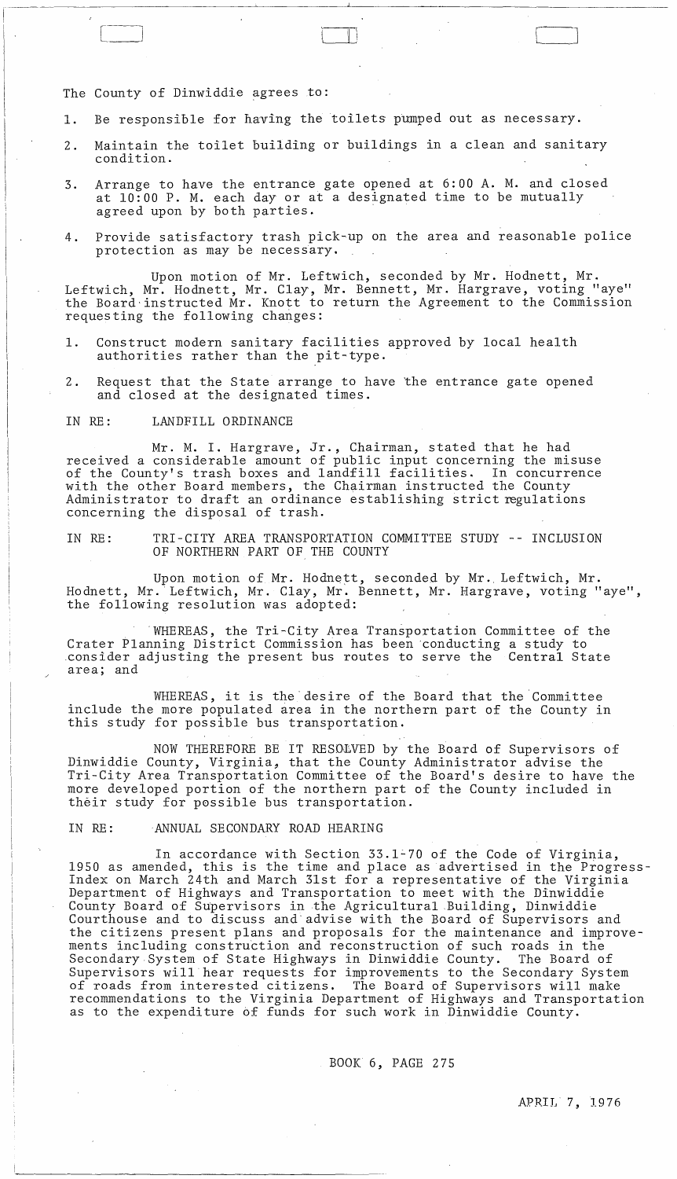## The County of Dinwiddie agrees to:

- 1. Be responsible for having the toilets pumped out as necessary.
- 2. Maintain the toilet building or buildings in a clean and sanitary condition.

 $\Box$ 

- 3. Arrange to have the entrance gate opened at 6:00 A. M. and closed at 10:00 P. M. each day or at a designated time to be mutually agreed upon by both parties. .
- 4. Provide satisfactory trash pick~up on the area and reasonable police protection as may be necessary.

Upon motion of Mr. Leftwich, seconded by Mr. Hodnett, Mr. Leftwich, Mr. Hodnett, Mr. Clay, Mr. Bennett, Mr. Hargrave, voting "aye" the Board'instructed Mr. Knott to return the Agreement to the Commission requesting the following changes:

- 1. Construct modern sanitary facilities approved by local health authorities rather than the pit~type.
- 2. Request that the State arrange to have 'the entrance gate opened and closed at the designated times.

### IN RE: LANDFILL ORDINANCE

Mr. M. I. Hargrave, Jr., Chairman, stated that he had received a considerable amount of public input concerning the misuse of the County's trash boxes and landfill facilities. In concurrence with the other Board members, the Chairman instructed the County Administrator to draft an ordinance establishing strict regulations concerning the disposal of trash.

IN RE: TRI-CITY AREA TRANSPORTATION COMMITTEE STUDY -- INCLUSION OF NORTHERN PART OF THE COUNTY

Upon motion of Mr. Hodnett, seconded by Mr. Leftwich, Mr. Hodnett, Mr. Leftwich, Mr. Clay, Mr. Bennett, Mr. Hargrave, voting "aye", the following resolution was adopted:

. WHEREAS , the Tri-City Area Transportation Committee of the Crater Planning District Commission has been ·conducting a study to .consider adjusting the present bus routes to serve the Central State area; and

WHEREAS, it is the desire of the Board that the Committee include the more populated area in the northern part of the County in this study for possible bus transportation.

NOW THEREFORE BE IT RESO£VED by the Board of Supervisors of Dinwiddie County, Virginia, that the County Administrator advise the Tri-City Area Transportation Committee of the Board's desire to have the more developed portion of the northern part of the County included in their study for p0ssible bus transportation.

### IN RE: ANNUAL SECONDARY ROAD HEARING

In accordance with Section 33.l~70 of the Code of Virginia, 1950 as amended, this is the time and place as advertised in the Progress-Index on March 24th and March 31st for a representative of the Virginia Department of Highways and Transportation to meet with the Dinwiddie County Board of Supervisors in the Agricultural Building, Dinwiddie Courthouse and to discuss and· advise with the Board of Supervisors and the citizens present plans and proposals for the maintenance and improvements including construction and reconstruction of such roads in the Secondary System of State Highways in Dinwiddie County. The Board of Supervisors will hear requests for improvements to the Secondary System of roads from interested citizens. The Board of Supervisors will make recommendations to the Virginia Department of Highways and Transportation as to the expenditure bf funds for such work in Dinwiddie County.

 $\sim 10^{-1}$ 

BOOK 6, PAGE 275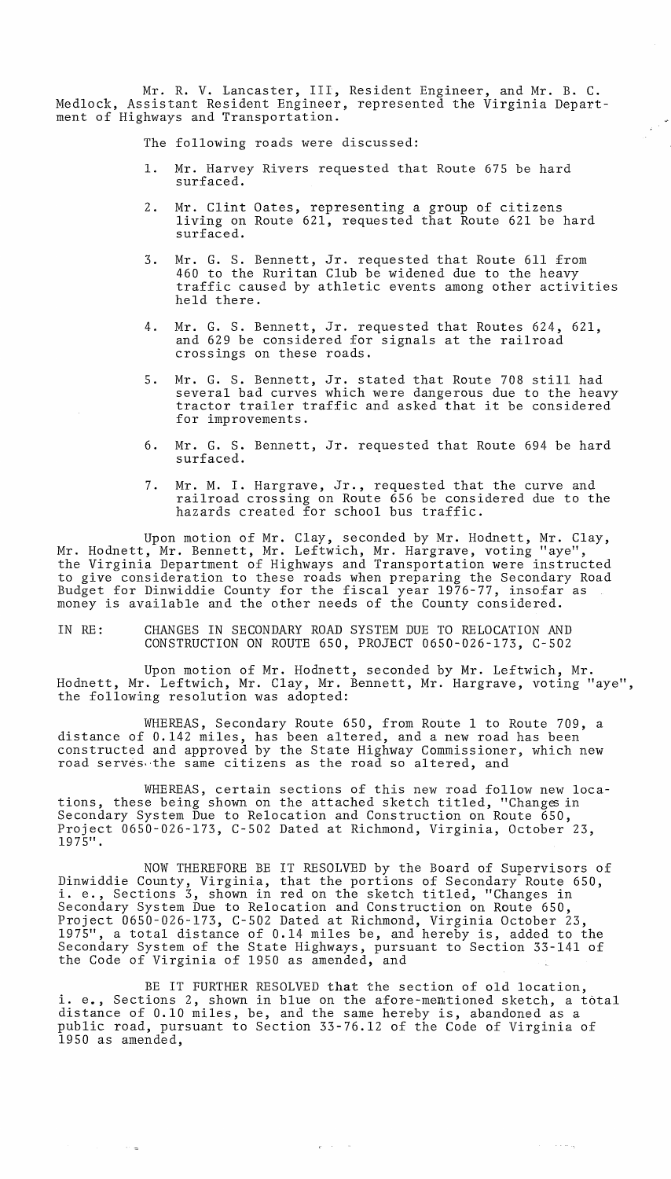Mr. R. V. Lancaster, III, Resident Engineer, and Mr. B. C. Medlock, Assistant Resident Engineer, represented the Virginia Department of Highways and Transportation.

The following roads were discussed:

- 1. Mr. Harvey Rivers requested that Route 675 be hard surfaced.
- 2. Mr. Clint Oates, representing a group of citizens living on Route 621, requested that Route 621 be hard surfaced.
- 3. Mr. G. S. Bennett, Jr. requested that Route 611 from 460 to the Ruritan Club be widened due to the heavy traffic caused by athletic events among other activities held there.
- 4. Mr. G. S. Bennett, Jr. requested that Routes 624, 621, and 629 be considered for signals at the railroad crossings on these roads.
- 5. Mr. G. S. Bennett, Jr. stated that Route 708 still had several bad curves which were dangerous due to the heavy tractor trailer traffic and asked that it be considered for improvements.
- 6. Mr. G. S. Bennett, Jr. requested that Route 694 be hard surfaced.
- 7. Mr. M. I. Hargrave, Jr., requested that the curve and railroad crossing on Route 656 be considered due to the hazards created for school bus traffic.

Upon motion of Mr. Clay, seconded by Mr. Hodnett, Mr. Clay, Mr. Hodnett, Mr. Bennett, Mr. Leftwich, Mr. Hargrave, voting "aye", the Virginia Department of Highways and Transportation were instructed to give consideration to these roads when preparing the Secondary Road Budget for Dinwiddie County for the fiscal year 1976-77, insofar as money is available and the other needs of the County considered.

## IN RE: CHANGES IN SECONDARY ROAD SYSTEM DUE TO RELOCATION AND CONSTRUCTION ON ROUTE 650, PROJECT 0650-026-173, C-502

Upon motion of Mr. Hodnett, seconded by Mr. Leftwich, Mr. Hodnett, Mr. Leftwich, Mr. Clay, Mr. Bennett, Mr. Hargrave, voting "aye", the following resolution was adopted:

WHEREAS, Secondary Route 650, from Route 1 to Route 709, a distance of 0.142 miles, has been altered, and a new road has been constructed and approved by the State Highway Commissioner, which new road serves. the same citizens as the road so altered, and

WHEREAS, certain sections of this new road follow new locations, these being shown on the attached sketch titled, "Changes in Secondary System *Due* to Relocation and Construction on Route 650, Project 0650-026-173, C-502 Dated at Richmond, Virginia, October 23, 1975".

NOW THEREFORE BE IT RESOLVED by the Board of Supervisors of Dinwiddie County, Virginia, that the portions of Secondary Route 650, i. e., Sections 3, shown in red on the sketch titled, "Changes in Secondary System *Due* to Relocation and Construction on Route 650, Project 0650-026-173, C-502 Dated at Richmond, Virginia October 23, 1975", a total distance of 0.14 miles be, and hereby is, added to the Secondary System of the State Highways, pursuant to Section 33-141 of the Code of Virginia of 1950 as amended, and

BE IT FURTHER RESOLVED that the section of old location, i. e., Sections 2, shown in blue on the afore-mentioned sketch, a total distance of 0.10 miles, be, and the same hereby is, abandoned as a public road, pursuant to Section 33-76.12 of the Code of Virginia of 1950 as amended,

 $\mathbf{r}^{\mathrm{max}}$  and  $\mathbf{r}^{\mathrm{max}}$ 

in a

 $\sim 100$  and  $\sim 10$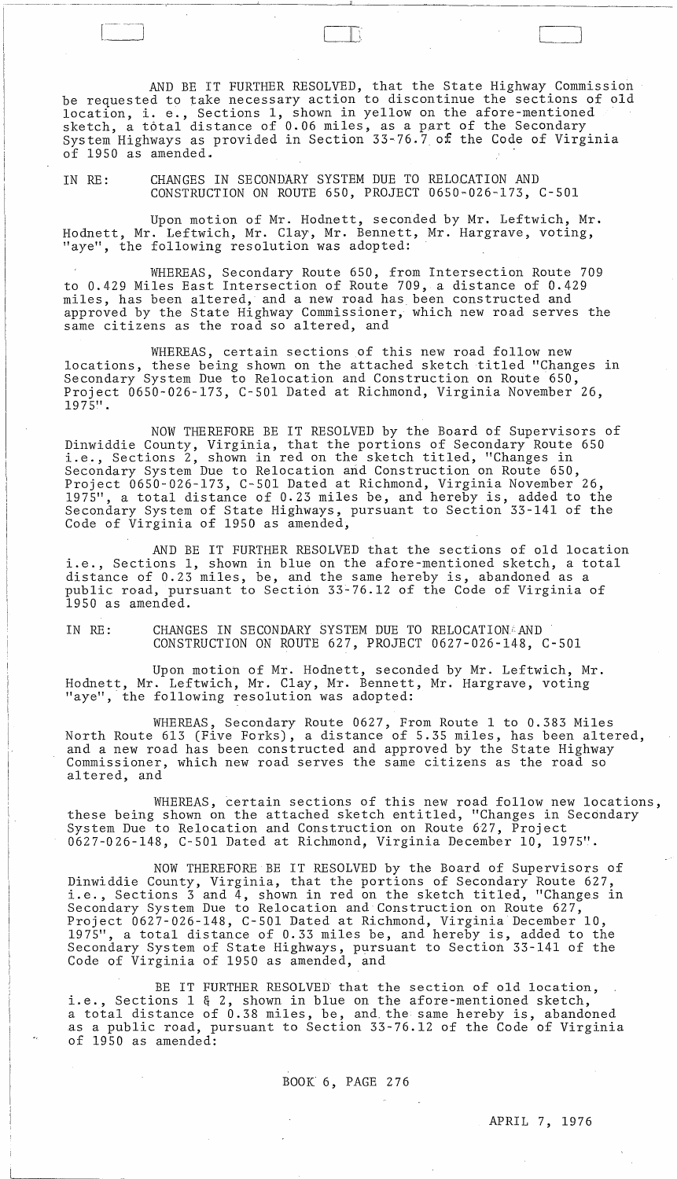AND BE IT FURTHER RESOLVED, that the State Highway Commission be requested to take necessary action to discontinue the sections of old location, i. e., Sections 1, shown in yellow on the afore-mentioned sketch, a total distance of 0.06 miles, as a part of the Secondary System Highways as provided in Section 33-76.7 of the Code of Virginia of 1950 as amended.

 $\Box$   $\Box$ 

~----~-~-~-- ~---~~~~~-o"-~~-~\_---.J~~~~ \_\_ --"-\_\_\_\_ ~~~ \_\_\_\_\_\_\_ ~~~ \_\_\_\_ \_

IN RE: CHANGES IN SECONDARY SYSTEM DUE TO RELOCATION AND CONSTRUCTION ON ROUTE 650, PROJECT 0650-026-173, C-501

Upon motion of Mr. Hodnett, seconded by Mr. Leftwich, Mr. Hodnett, Mr. Leftwich, Mr. Clay, Mr. Bennett, Mr. Hargrave, voting, "aye", the following resolution was adopted:

WHEREAS, Secondary Route 650, from Intersection Route 709 to 0.429 Miles East Intersection of Route 709, a distance of 0.429 miles, has been altered, and a new road has been constructed and approved by the State Highway Commissioner, which new road serves the same citizens as the road so altered, and

WHEREAS, certain sections of this new road follow new locations, these being shown on the attached sketch titled "Changes in Secondary System Due to Relocation and Construction on Route 650, Project 0650-026-173, C-50l Dated at Richmond, Virginia November 26, 1975".

NOW THEREFORE BE IT RESOLVED by the Board of Supervisors of Dinwiddie County, Virginia, that the portions of Secondary Route 650 i. e., Sections 2, shown in red on the sketch titled, "Changes in Secondary System Due to Relocation and Construction on Route 650, Project 0650-026-173, C-50l Dated at Richmond, Virginia November 26, 11975", a total distance of 0.23 miles be, and hereby is, added to the Secondary System of State Highways, pursuant to Section 33-141 of the Code of Virginia of 1950 as amended,

AND BE IT FURTHER RESOLVED that the sections of old location i.e., Sections 1, shown in blue on the afore-mentioned sketch, a total distance of 0.23 miles, be, and the same hereby is, abandoned as a public road, pursuant to Section 33-76.12 of the Code of Virginia of 1950 as amended.

IN RE: CHANGES IN SECONDARY SYSTEM DUE TO RELOCATIONARND CONSTRUCTION ON ROUTE 627, PROJECT 0627-026-148, C-50l

Upon motion of Mr. Hodnett, seconded by Mr. Leftwich, Mr. Hodnett, Mr. Leftwich, Mr. Clay, Mr. Bennett, Mr. Hargrave, voting "aye", the following resolution was adopted:

WHEREAS, Secondary Route 0627, From Route 1 to 0.383 Miles North Route 613 (Five Forks), a distance of 5.35 miles, has been altered, and a new road has been constructed and approved by the State Highway Commissioner, which new road serves the same citizens as the road so altered, and

WHEREAS, certain sections of this new road follow new locations, these being shown on the attached sketch entitled, "Changes in Secondary System Due to Relocation and Construction on Route 627, Project 0627-026-148, C-501 Dated at Richmond, Virginia December 10, 1975".

NOW THEREFORE BE IT RESOLVED by the Board of Supervisors of Dinwiddie County, Virginia, that the portions of Secondary Route 627, binwrudie County, virginia, that the portrons of secondary Route 027,<br>i.e., Sections 3 and 4, shown in red on the sketch titled, "Changes in Secondary System Due to Relocation and Construction on Route 627, Project 0627-026-148, C-50l Dated at Richmond, Virginia December 10, 1975", a total distance of 0.33 miles be, and hereby is, added to the Secondary System of State Highways, pursuant to Section 33-141 of the Code of Virginia of 1950 as amended, and

BE IT FURTHER RESOLVED that the section of old location, i.e., Sections 1 & 2, shown in blue on the afore-mentioned sketch, a total distance of 0.38 miles, be, and. the same hereby is, abandoned as a public road, pursuant to Section 33-76.12 of the Code of Virginia of 1950 as amended:

BOOK' 6, PAGE 276

 $\sim$